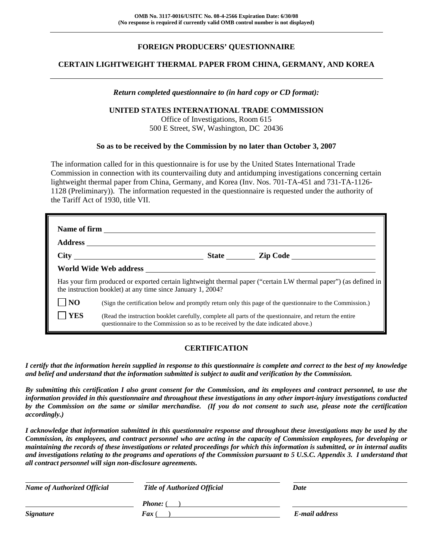# **FOREIGN PRODUCERS' QUESTIONNAIRE**

## **CERTAIN LIGHTWEIGHT THERMAL PAPER FROM CHINA, GERMANY, AND KOREA**

#### *Return completed questionnaire to (in hard copy or CD format):*

#### **UNITED STATES INTERNATIONAL TRADE COMMISSION**

Office of Investigations, Room 615 500 E Street, SW, Washington, DC 20436

#### **So as to be received by the Commission by no later than October 3, 2007**

The information called for in this questionnaire is for use by the United States International Trade Commission in connection with its countervailing duty and antidumping investigations concerning certain lightweight thermal paper from China, Germany, and Korea (Inv. Nos. 701-TA-451 and 731-TA-1126- 1128 (Preliminary)). The information requested in the questionnaire is requested under the authority of the Tariff Act of 1930, title VII.

|                | Name of firm <b>Exercise 2.1 August 2.1 August 2.1 August 2.1 August 2.1 August 2.1 August 2.1 August 2.1 August 2.1 August 2.1 August 2.1 August 2.1 August 2.1 August 2.1 August 2.1 August 2.1 August 2.1 August 2.1 August 2</b> |
|----------------|--------------------------------------------------------------------------------------------------------------------------------------------------------------------------------------------------------------------------------------|
|                |                                                                                                                                                                                                                                      |
|                | State Zip Code                                                                                                                                                                                                                       |
|                |                                                                                                                                                                                                                                      |
|                | Has your firm produced or exported certain lightweight thermal paper ("certain LW thermal paper") (as defined in<br>the instruction booklet) at any time since January 1, 2004?                                                      |
| N <sub>O</sub> | (Sign the certification below and promptly return only this page of the questionnaire to the Commission.)                                                                                                                            |
| <b>YES</b>     | (Read the instruction booklet carefully, complete all parts of the questionnaire, and return the entire<br>questionnaire to the Commission so as to be received by the date indicated above.)                                        |

## **CERTIFICATION**

*I certify that the information herein supplied in response to this questionnaire is complete and correct to the best of my knowledge and belief and understand that the information submitted is subject to audit and verification by the Commission.* 

*By submitting this certification I also grant consent for the Commission, and its employees and contract personnel, to use the information provided in this questionnaire and throughout these investigations in any other import-injury investigations conducted by the Commission on the same or similar merchandise. (If you do not consent to such use, please note the certification accordingly.)* 

*I acknowledge that information submitted in this questionnaire response and throughout these investigations may be used by the Commission, its employees, and contract personnel who are acting in the capacity of Commission employees, for developing or maintaining the records of these investigations or related proceedings for which this information is submitted, or in internal audits and investigations relating to the programs and operations of the Commission pursuant to 5 U.S.C. Appendix 3. I understand that all contract personnel will sign non-disclosure agreements.* 

| <b>Name of Authorized Official</b> | <b>Title of Authorized Official</b> | Date           |
|------------------------------------|-------------------------------------|----------------|
|                                    | <b>Phone:</b> (                     |                |
| <b>Signature</b>                   | $\boldsymbol{F}$ ax                 | E-mail address |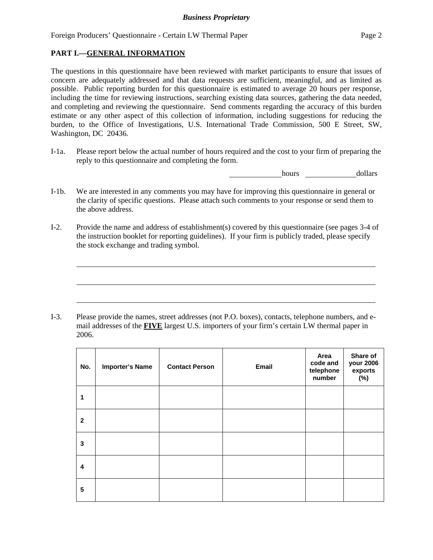## **PART I.—GENERAL INFORMATION**

 $\overline{a}$ 

 $\overline{a}$ 

 $\overline{a}$ 

The questions in this questionnaire have been reviewed with market participants to ensure that issues of concern are adequately addressed and that data requests are sufficient, meaningful, and as limited as possible. Public reporting burden for this questionnaire is estimated to average 20 hours per response, including the time for reviewing instructions, searching existing data sources, gathering the data needed, and completing and reviewing the questionnaire. Send comments regarding the accuracy of this burden estimate or any other aspect of this collection of information, including suggestions for reducing the burden, to the Office of Investigations, U.S. International Trade Commission, 500 E Street, SW, Washington, DC 20436.

I-1a. Please report below the actual number of hours required and the cost to your firm of preparing the reply to this questionnaire and completing the form.

hours dollars

- I-1b. We are interested in any comments you may have for improving this questionnaire in general or the clarity of specific questions. Please attach such comments to your response or send them to the above address.
- I-2. Provide the name and address of establishment(s) covered by this questionnaire (see pages 3-4 of the instruction booklet for reporting guidelines). If your firm is publicly traded, please specify the stock exchange and trading symbol.

I-3. Please provide the names, street addresses (not P.O. boxes), contacts, telephone numbers, and email addresses of the **FIVE** largest U.S. importers of your firm's certain LW thermal paper in 2006.

| No.          | <b>Importer's Name</b> | <b>Contact Person</b> | Email | Area<br>code and<br>telephone<br>number | Share of<br>your 2006<br>exports<br>$(\%)$ |
|--------------|------------------------|-----------------------|-------|-----------------------------------------|--------------------------------------------|
| 1            |                        |                       |       |                                         |                                            |
| $\mathbf{2}$ |                        |                       |       |                                         |                                            |
| 3            |                        |                       |       |                                         |                                            |
| 4            |                        |                       |       |                                         |                                            |
| 5            |                        |                       |       |                                         |                                            |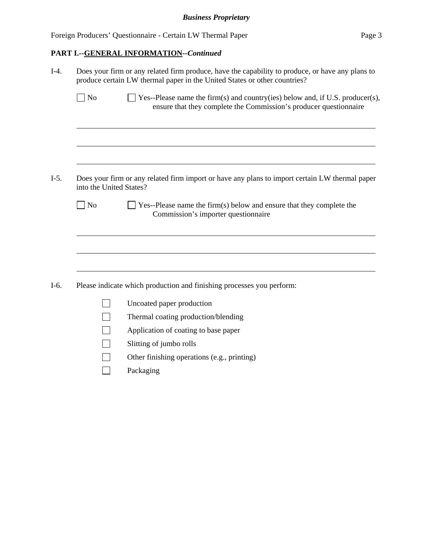# **PART I.--GENERAL INFORMATION***--Continued*

| $I-4.$ |                         | Does your firm or any related firm produce, have the capability to produce, or have any plans to<br>produce certain LW thermal paper in the United States or other countries? |  |  |  |  |  |  |  |
|--------|-------------------------|-------------------------------------------------------------------------------------------------------------------------------------------------------------------------------|--|--|--|--|--|--|--|
|        | $\exists$ No            | $\Box$ Yes--Please name the firm(s) and country(ies) below and, if U.S. producer(s),<br>ensure that they complete the Commission's producer questionnaire                     |  |  |  |  |  |  |  |
|        |                         |                                                                                                                                                                               |  |  |  |  |  |  |  |
| $I-5.$ | into the United States? | Does your firm or any related firm import or have any plans to import certain LW thermal paper                                                                                |  |  |  |  |  |  |  |
|        | $ $ No                  | Yes--Please name the firm(s) below and ensure that they complete the<br>Commission's importer questionnaire                                                                   |  |  |  |  |  |  |  |
|        |                         |                                                                                                                                                                               |  |  |  |  |  |  |  |
| $I-6.$ |                         | Please indicate which production and finishing processes you perform:                                                                                                         |  |  |  |  |  |  |  |
|        |                         | Uncoated paper production                                                                                                                                                     |  |  |  |  |  |  |  |
|        |                         | Thermal coating production/blending                                                                                                                                           |  |  |  |  |  |  |  |
|        |                         | Application of coating to base paper                                                                                                                                          |  |  |  |  |  |  |  |
|        |                         | Slitting of jumbo rolls                                                                                                                                                       |  |  |  |  |  |  |  |
|        |                         | Other finishing operations (e.g., printing)                                                                                                                                   |  |  |  |  |  |  |  |
|        |                         | Packaging                                                                                                                                                                     |  |  |  |  |  |  |  |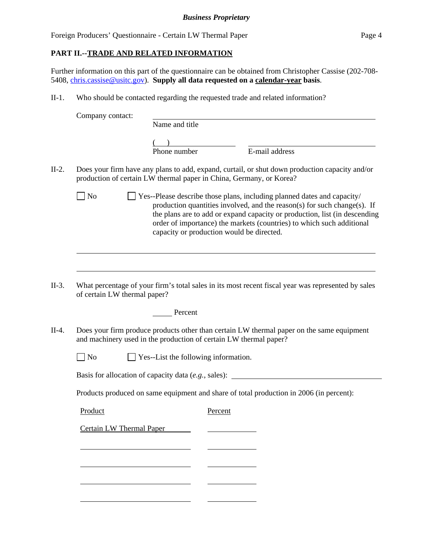# **PART II.--TRADE AND RELATED INFORMATION**

Further information on this part of the questionnaire can be obtained from Christopher Cassise (202-708- 5408, chris.cassise@usitc.gov). **Supply all data requested on a calendar-year basis**.

II-1. Who should be contacted regarding the requested trade and related information?

|         | Company contact:                                                    |                                           |         |                                                                                                                                                                                                                                                                                                            |
|---------|---------------------------------------------------------------------|-------------------------------------------|---------|------------------------------------------------------------------------------------------------------------------------------------------------------------------------------------------------------------------------------------------------------------------------------------------------------------|
|         |                                                                     | Name and title                            |         |                                                                                                                                                                                                                                                                                                            |
|         |                                                                     |                                           |         |                                                                                                                                                                                                                                                                                                            |
|         |                                                                     | Phone number                              |         | E-mail address                                                                                                                                                                                                                                                                                             |
| $II-2.$ | production of certain LW thermal paper in China, Germany, or Korea? |                                           |         | Does your firm have any plans to add, expand, curtail, or shut down production capacity and/or                                                                                                                                                                                                             |
|         | N <sub>0</sub>                                                      | capacity or production would be directed. |         | Yes--Please describe those plans, including planned dates and capacity/<br>production quantities involved, and the reason(s) for such change(s). If<br>the plans are to add or expand capacity or production, list (in descending<br>order of importance) the markets (countries) to which such additional |
|         |                                                                     |                                           |         |                                                                                                                                                                                                                                                                                                            |
| $II-3.$ | of certain LW thermal paper?                                        |                                           |         | What percentage of your firm's total sales in its most recent fiscal year was represented by sales                                                                                                                                                                                                         |
|         |                                                                     | Percent                                   |         |                                                                                                                                                                                                                                                                                                            |
| II-4.   | and machinery used in the production of certain LW thermal paper?   |                                           |         | Does your firm produce products other than certain LW thermal paper on the same equipment                                                                                                                                                                                                                  |
|         | N <sub>o</sub>                                                      | Yes--List the following information.      |         |                                                                                                                                                                                                                                                                                                            |
|         |                                                                     |                                           |         | Basis for allocation of capacity data (e.g., sales): ____________________________                                                                                                                                                                                                                          |
|         |                                                                     |                                           |         | Products produced on same equipment and share of total production in 2006 (in percent):                                                                                                                                                                                                                    |
|         | Product                                                             |                                           | Percent |                                                                                                                                                                                                                                                                                                            |
|         | <b>Certain LW Thermal Paper</b>                                     |                                           |         |                                                                                                                                                                                                                                                                                                            |
|         |                                                                     |                                           |         |                                                                                                                                                                                                                                                                                                            |
|         |                                                                     |                                           |         |                                                                                                                                                                                                                                                                                                            |
|         |                                                                     |                                           |         |                                                                                                                                                                                                                                                                                                            |
|         |                                                                     |                                           |         |                                                                                                                                                                                                                                                                                                            |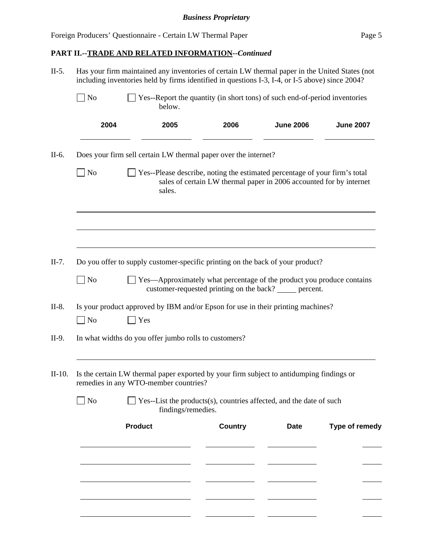l

# **PART II.--TRADE AND RELATED INFORMATION***--Continued*

| $II-5.$  | Has your firm maintained any inventories of certain LW thermal paper in the United States (not<br>including inventories held by firms identified in questions I-3, I-4, or I-5 above) since 2004? |                                                       |                                                                                                                                                   |                  |                  |  |  |  |  |  |  |
|----------|---------------------------------------------------------------------------------------------------------------------------------------------------------------------------------------------------|-------------------------------------------------------|---------------------------------------------------------------------------------------------------------------------------------------------------|------------------|------------------|--|--|--|--|--|--|
|          | $\Box$ No                                                                                                                                                                                         | below.                                                | Yes--Report the quantity (in short tons) of such end-of-period inventories                                                                        |                  |                  |  |  |  |  |  |  |
|          | 2004                                                                                                                                                                                              | 2005                                                  | 2006                                                                                                                                              | <b>June 2006</b> | <b>June 2007</b> |  |  |  |  |  |  |
| $II-6.$  |                                                                                                                                                                                                   |                                                       | Does your firm sell certain LW thermal paper over the internet?                                                                                   |                  |                  |  |  |  |  |  |  |
|          | N <sub>o</sub>                                                                                                                                                                                    | sales.                                                | Yes--Please describe, noting the estimated percentage of your firm's total<br>sales of certain LW thermal paper in 2006 accounted for by internet |                  |                  |  |  |  |  |  |  |
|          |                                                                                                                                                                                                   |                                                       |                                                                                                                                                   |                  |                  |  |  |  |  |  |  |
| $II-7.$  |                                                                                                                                                                                                   |                                                       | Do you offer to supply customer-specific printing on the back of your product?                                                                    |                  |                  |  |  |  |  |  |  |
|          | $\Box$ No                                                                                                                                                                                         |                                                       | $\Box$ Yes—Approximately what percentage of the product you produce contains<br>customer-requested printing on the back? _____ percent.           |                  |                  |  |  |  |  |  |  |
| $II-8.$  |                                                                                                                                                                                                   |                                                       | Is your product approved by IBM and/or Epson for use in their printing machines?                                                                  |                  |                  |  |  |  |  |  |  |
|          | $\Box$ No                                                                                                                                                                                         | Yes                                                   |                                                                                                                                                   |                  |                  |  |  |  |  |  |  |
| II-9.    |                                                                                                                                                                                                   | In what widths do you offer jumbo rolls to customers? |                                                                                                                                                   |                  |                  |  |  |  |  |  |  |
| $II-10.$ |                                                                                                                                                                                                   | remedies in any WTO-member countries?                 | Is the certain LW thermal paper exported by your firm subject to antidumping findings or                                                          |                  |                  |  |  |  |  |  |  |
|          | $\Box$ No                                                                                                                                                                                         |                                                       | Yes--List the products(s), countries affected, and the date of such<br>findings/remedies.                                                         |                  |                  |  |  |  |  |  |  |
|          |                                                                                                                                                                                                   | <b>Product</b>                                        | <b>Country</b>                                                                                                                                    | <b>Date</b>      | Type of remedy   |  |  |  |  |  |  |
|          |                                                                                                                                                                                                   |                                                       |                                                                                                                                                   |                  |                  |  |  |  |  |  |  |
|          |                                                                                                                                                                                                   |                                                       |                                                                                                                                                   |                  |                  |  |  |  |  |  |  |
|          |                                                                                                                                                                                                   |                                                       |                                                                                                                                                   |                  |                  |  |  |  |  |  |  |
|          |                                                                                                                                                                                                   |                                                       |                                                                                                                                                   |                  |                  |  |  |  |  |  |  |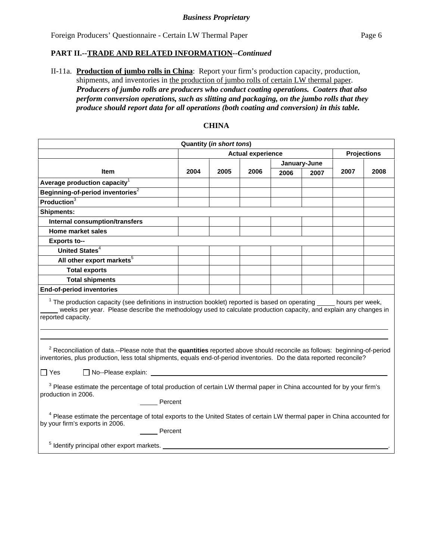## **PART II.--TRADE AND RELATED INFORMATION***--Continued*

II-11a. **Production of jumbo rolls in China**: Report your firm's production capacity, production, shipments, and inventories in the production of jumbo rolls of certain LW thermal paper. *Producers of jumbo rolls are producers who conduct coating operations. Coaters that also perform conversion operations, such as slitting and packaging, on the jumbo rolls that they produce should report data for all operations (both coating and conversion) in this table.*

|                                                                                                                                                                                                                                                                       |                          | <b>Quantity (in short tons)</b> |      |      |                    |      |      |  |
|-----------------------------------------------------------------------------------------------------------------------------------------------------------------------------------------------------------------------------------------------------------------------|--------------------------|---------------------------------|------|------|--------------------|------|------|--|
|                                                                                                                                                                                                                                                                       | <b>Actual experience</b> |                                 |      |      | <b>Projections</b> |      |      |  |
|                                                                                                                                                                                                                                                                       |                          |                                 |      |      | January-June       |      |      |  |
| Item                                                                                                                                                                                                                                                                  | 2004                     | 2005                            | 2006 | 2006 | 2007               | 2007 | 2008 |  |
| Average production capacity <sup>1</sup>                                                                                                                                                                                                                              |                          |                                 |      |      |                    |      |      |  |
| Beginning-of-period inventories <sup>2</sup>                                                                                                                                                                                                                          |                          |                                 |      |      |                    |      |      |  |
| Production <sup>3</sup>                                                                                                                                                                                                                                               |                          |                                 |      |      |                    |      |      |  |
| <b>Shipments:</b>                                                                                                                                                                                                                                                     |                          |                                 |      |      |                    |      |      |  |
| <b>Internal consumption/transfers</b>                                                                                                                                                                                                                                 |                          |                                 |      |      |                    |      |      |  |
| Home market sales                                                                                                                                                                                                                                                     |                          |                                 |      |      |                    |      |      |  |
| <b>Exports to--</b>                                                                                                                                                                                                                                                   |                          |                                 |      |      |                    |      |      |  |
| United States <sup>4</sup>                                                                                                                                                                                                                                            |                          |                                 |      |      |                    |      |      |  |
| All other export markets <sup>5</sup>                                                                                                                                                                                                                                 |                          |                                 |      |      |                    |      |      |  |
| <b>Total exports</b>                                                                                                                                                                                                                                                  |                          |                                 |      |      |                    |      |      |  |
| <b>Total shipments</b>                                                                                                                                                                                                                                                |                          |                                 |      |      |                    |      |      |  |
| <b>End-of-period inventories</b>                                                                                                                                                                                                                                      |                          |                                 |      |      |                    |      |      |  |
| $1$ The production capacity (see definitions in instruction booklet) reported is based on operating $\_\_$ hours per week,<br>weeks per year. Please describe the methodology used to calculate production capacity, and explain any changes in<br>reported capacity. |                          |                                 |      |      |                    |      |      |  |
|                                                                                                                                                                                                                                                                       |                          |                                 |      |      |                    |      |      |  |
| <sup>2</sup> Reconciliation of data.--Please note that the quantities reported above should reconcile as follows: beginning-of-period<br>inventories, plus production, less total shipments, equals end-of-period inventories. Do the data reported reconcile?        |                          |                                 |      |      |                    |      |      |  |
| $\Box$ No--Please explain:<br>$\Box$ Yes                                                                                                                                                                                                                              |                          |                                 |      |      |                    |      |      |  |
| <sup>3</sup> Please estimate the percentage of total production of certain LW thermal paper in China accounted for by your firm's<br>production in 2006.<br>Percent                                                                                                   |                          |                                 |      |      |                    |      |      |  |
| <sup>4</sup> Please estimate the percentage of total exports to the United States of certain LW thermal paper in China accounted for<br>by your firm's exports in 2006.<br>Percent                                                                                    |                          |                                 |      |      |                    |      |      |  |
| <sup>5</sup> Identify principal other export markets.                                                                                                                                                                                                                 |                          |                                 |      |      |                    |      |      |  |

## **CHINA**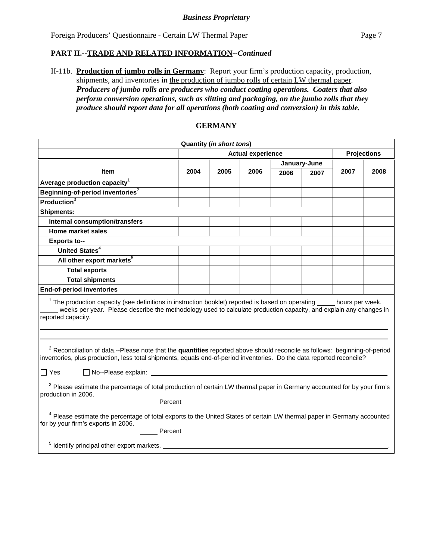## **PART II.--TRADE AND RELATED INFORMATION***--Continued*

II-11b. **Production of jumbo rolls in Germany**: Report your firm's production capacity, production, shipments, and inventories in the production of jumbo rolls of certain LW thermal paper. *Producers of jumbo rolls are producers who conduct coating operations. Coaters that also perform conversion operations, such as slitting and packaging, on the jumbo rolls that they produce should report data for all operations (both coating and conversion) in this table.*

|                                                                                                                                                                                                                                                                              |      | <b>Quantity (in short tons)</b> |                          |      |              |                    |      |  |
|------------------------------------------------------------------------------------------------------------------------------------------------------------------------------------------------------------------------------------------------------------------------------|------|---------------------------------|--------------------------|------|--------------|--------------------|------|--|
|                                                                                                                                                                                                                                                                              |      |                                 | <b>Actual experience</b> |      |              | <b>Projections</b> |      |  |
|                                                                                                                                                                                                                                                                              |      |                                 |                          |      | January-June |                    |      |  |
| Item                                                                                                                                                                                                                                                                         | 2004 | 2005                            | 2006                     | 2006 | 2007         | 2007               | 2008 |  |
| Average production capacity $1$                                                                                                                                                                                                                                              |      |                                 |                          |      |              |                    |      |  |
| Beginning-of-period inventories <sup>2</sup>                                                                                                                                                                                                                                 |      |                                 |                          |      |              |                    |      |  |
| <b>Production</b> $3$                                                                                                                                                                                                                                                        |      |                                 |                          |      |              |                    |      |  |
| <b>Shipments:</b>                                                                                                                                                                                                                                                            |      |                                 |                          |      |              |                    |      |  |
| Internal consumption/transfers                                                                                                                                                                                                                                               |      |                                 |                          |      |              |                    |      |  |
| Home market sales                                                                                                                                                                                                                                                            |      |                                 |                          |      |              |                    |      |  |
| <b>Exports to--</b>                                                                                                                                                                                                                                                          |      |                                 |                          |      |              |                    |      |  |
| United States <sup>4</sup>                                                                                                                                                                                                                                                   |      |                                 |                          |      |              |                    |      |  |
| All other export markets <sup>5</sup>                                                                                                                                                                                                                                        |      |                                 |                          |      |              |                    |      |  |
| <b>Total exports</b>                                                                                                                                                                                                                                                         |      |                                 |                          |      |              |                    |      |  |
| <b>Total shipments</b>                                                                                                                                                                                                                                                       |      |                                 |                          |      |              |                    |      |  |
| <b>End-of-period inventories</b>                                                                                                                                                                                                                                             |      |                                 |                          |      |              |                    |      |  |
| $1$ The production capacity (see definitions in instruction booklet) reported is based on operating $\_\_$ hours per week,<br>weeks per year. Please describe the methodology used to calculate production capacity, and explain any changes in<br>reported capacity.        |      |                                 |                          |      |              |                    |      |  |
| <sup>2</sup> Reconciliation of data.--Please note that the quantities reported above should reconcile as follows: beginning-of-period<br>inventories, plus production, less total shipments, equals end-of-period inventories. Do the data reported reconcile?<br>$\Box$ Yes |      |                                 |                          |      |              |                    |      |  |
| <sup>3</sup> Please estimate the percentage of total production of certain LW thermal paper in Germany accounted for by your firm's<br>production in 2006.<br>Percent                                                                                                        |      |                                 |                          |      |              |                    |      |  |
| <sup>4</sup> Please estimate the percentage of total exports to the United States of certain LW thermal paper in Germany accounted<br>for by your firm's exports in 2006.<br>Percent<br><sup>5</sup> Identify principal other export markets.                                |      |                                 |                          |      |              |                    |      |  |

## **GERMANY**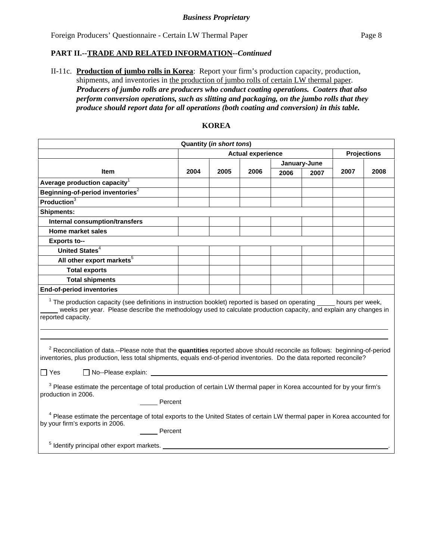## **PART II.--TRADE AND RELATED INFORMATION***--Continued*

II-11c. **Production of jumbo rolls in Korea**: Report your firm's production capacity, production, shipments, and inventories in the production of jumbo rolls of certain LW thermal paper. *Producers of jumbo rolls are producers who conduct coating operations. Coaters that also perform conversion operations, such as slitting and packaging, on the jumbo rolls that they produce should report data for all operations (both coating and conversion) in this table.*

|                                                                                                                                                                                                                                                                       |      | <b>Quantity (in short tons)</b> |      |      |                    |      |      |
|-----------------------------------------------------------------------------------------------------------------------------------------------------------------------------------------------------------------------------------------------------------------------|------|---------------------------------|------|------|--------------------|------|------|
|                                                                                                                                                                                                                                                                       |      | <b>Actual experience</b>        |      |      | <b>Projections</b> |      |      |
|                                                                                                                                                                                                                                                                       |      |                                 |      |      | January-June       |      |      |
| <b>Item</b>                                                                                                                                                                                                                                                           | 2004 | 2005                            | 2006 | 2006 | 2007               | 2007 | 2008 |
| Average production capacity ${}^{\rm 1}$                                                                                                                                                                                                                              |      |                                 |      |      |                    |      |      |
| Beginning-of-period inventories <sup>2</sup>                                                                                                                                                                                                                          |      |                                 |      |      |                    |      |      |
| <b>Production</b> $\frac{1}{3}$                                                                                                                                                                                                                                       |      |                                 |      |      |                    |      |      |
| <b>Shipments:</b>                                                                                                                                                                                                                                                     |      |                                 |      |      |                    |      |      |
| <b>Internal consumption/transfers</b>                                                                                                                                                                                                                                 |      |                                 |      |      |                    |      |      |
| <b>Home market sales</b>                                                                                                                                                                                                                                              |      |                                 |      |      |                    |      |      |
| <b>Exports to--</b>                                                                                                                                                                                                                                                   |      |                                 |      |      |                    |      |      |
| United States <sup>4</sup>                                                                                                                                                                                                                                            |      |                                 |      |      |                    |      |      |
| All other export markets <sup>5</sup>                                                                                                                                                                                                                                 |      |                                 |      |      |                    |      |      |
| <b>Total exports</b>                                                                                                                                                                                                                                                  |      |                                 |      |      |                    |      |      |
| <b>Total shipments</b>                                                                                                                                                                                                                                                |      |                                 |      |      |                    |      |      |
| End-of-period inventories                                                                                                                                                                                                                                             |      |                                 |      |      |                    |      |      |
| $1$ The production capacity (see definitions in instruction booklet) reported is based on operating $\_\_$ hours per week,<br>weeks per year. Please describe the methodology used to calculate production capacity, and explain any changes in<br>reported capacity. |      |                                 |      |      |                    |      |      |
|                                                                                                                                                                                                                                                                       |      |                                 |      |      |                    |      |      |
| <sup>2</sup> Reconciliation of data.--Please note that the quantities reported above should reconcile as follows: beginning-of-period<br>inventories, plus production, less total shipments, equals end-of-period inventories. Do the data reported reconcile?        |      |                                 |      |      |                    |      |      |
| $\Box$ Yes                                                                                                                                                                                                                                                            |      |                                 |      |      |                    |      |      |
| <sup>3</sup> Please estimate the percentage of total production of certain LW thermal paper in Korea accounted for by your firm's<br>production in 2006.<br>Percent                                                                                                   |      |                                 |      |      |                    |      |      |
|                                                                                                                                                                                                                                                                       |      |                                 |      |      |                    |      |      |
| <sup>4</sup> Please estimate the percentage of total exports to the United States of certain LW thermal paper in Korea accounted for<br>by your firm's exports in 2006.                                                                                               |      |                                 |      |      |                    |      |      |
| Percent                                                                                                                                                                                                                                                               |      |                                 |      |      |                    |      |      |
| <sup>5</sup> Identify principal other export markets.                                                                                                                                                                                                                 |      |                                 |      |      |                    |      |      |

## **KOREA**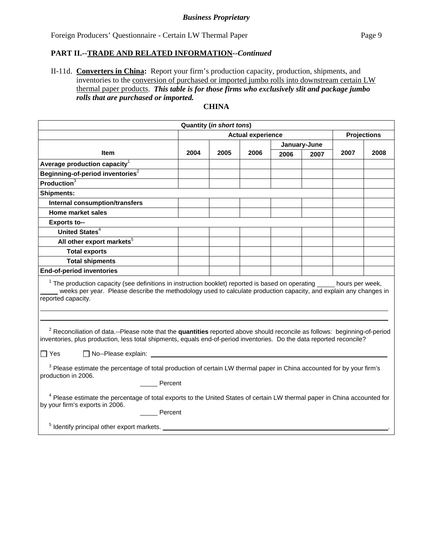### *Business Proprietary*

Foreign Producers' Questionnaire - Certain LW Thermal Paper Page 9

## **PART II.--TRADE AND RELATED INFORMATION***--Continued*

II-11d. **Converters in China:** Report your firm's production capacity, production, shipments, and inventories to the conversion of purchased or imported jumbo rolls into downstream certain LW thermal paper products. *This table is for those firms who exclusively slit and package jumbo rolls that are purchased or imported.* 

## **CHINA**

| <b>Quantity (in short tons)</b>                                                                                                                                                                                                                                       |                                                |      |      |      |              |      |      |  |  |
|-----------------------------------------------------------------------------------------------------------------------------------------------------------------------------------------------------------------------------------------------------------------------|------------------------------------------------|------|------|------|--------------|------|------|--|--|
|                                                                                                                                                                                                                                                                       | <b>Actual experience</b><br><b>Projections</b> |      |      |      |              |      |      |  |  |
|                                                                                                                                                                                                                                                                       |                                                |      |      |      | January-June |      |      |  |  |
| Item                                                                                                                                                                                                                                                                  | 2004                                           | 2005 | 2006 | 2006 | 2007         | 2007 | 2008 |  |  |
| Average production capacity ${}^1$                                                                                                                                                                                                                                    |                                                |      |      |      |              |      |      |  |  |
| Beginning-of-period inventories $^2$                                                                                                                                                                                                                                  |                                                |      |      |      |              |      |      |  |  |
| Production $3$                                                                                                                                                                                                                                                        |                                                |      |      |      |              |      |      |  |  |
| <b>Shipments:</b>                                                                                                                                                                                                                                                     |                                                |      |      |      |              |      |      |  |  |
| Internal consumption/transfers                                                                                                                                                                                                                                        |                                                |      |      |      |              |      |      |  |  |
| Home market sales                                                                                                                                                                                                                                                     |                                                |      |      |      |              |      |      |  |  |
| <b>Exports to--</b>                                                                                                                                                                                                                                                   |                                                |      |      |      |              |      |      |  |  |
| United States <sup>4</sup>                                                                                                                                                                                                                                            |                                                |      |      |      |              |      |      |  |  |
| All other export markets <sup>5</sup>                                                                                                                                                                                                                                 |                                                |      |      |      |              |      |      |  |  |
| <b>Total exports</b>                                                                                                                                                                                                                                                  |                                                |      |      |      |              |      |      |  |  |
| <b>Total shipments</b>                                                                                                                                                                                                                                                |                                                |      |      |      |              |      |      |  |  |
| <b>End-of-period inventories</b>                                                                                                                                                                                                                                      |                                                |      |      |      |              |      |      |  |  |
| $1$ The production capacity (see definitions in instruction booklet) reported is based on operating $\_\_$ hours per week,<br>weeks per year. Please describe the methodology used to calculate production capacity, and explain any changes in<br>reported capacity. |                                                |      |      |      |              |      |      |  |  |
| <sup>2</sup> Reconciliation of data.--Please note that the quantities reported above should reconcile as follows: beginning-of-period<br>inventories, plus production, less total shipments, equals end-of-period inventories. Do the data reported reconcile?        |                                                |      |      |      |              |      |      |  |  |
| $\Box$ Yes                                                                                                                                                                                                                                                            |                                                |      |      |      |              |      |      |  |  |
| <sup>3</sup> Please estimate the percentage of total production of certain LW thermal paper in China accounted for by your firm's<br>production in 2006.<br>Percent                                                                                                   |                                                |      |      |      |              |      |      |  |  |
| <sup>4</sup> Please estimate the percentage of total exports to the United States of certain LW thermal paper in China accounted for<br>by your firm's exports in 2006.<br>Percent                                                                                    |                                                |      |      |      |              |      |      |  |  |
| <sup>5</sup> Identify principal other export markets.                                                                                                                                                                                                                 |                                                |      |      |      |              |      |      |  |  |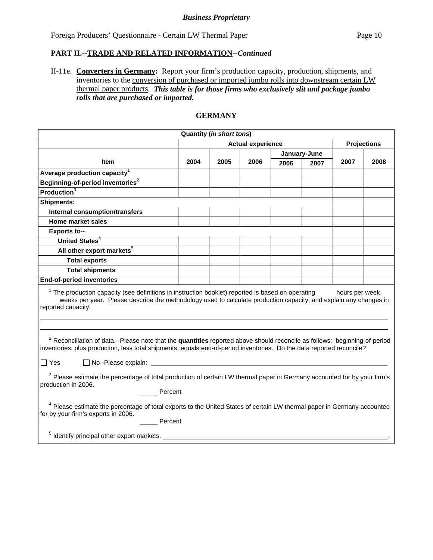### *Business Proprietary*

Foreign Producers' Questionnaire - Certain LW Thermal Paper Page 10

#### **PART II.--TRADE AND RELATED INFORMATION***--Continued*

II-11e. **Converters in Germany:** Report your firm's production capacity, production, shipments, and inventories to the conversion of purchased or imported jumbo rolls into downstream certain LW thermal paper products. *This table is for those firms who exclusively slit and package jumbo rolls that are purchased or imported.* 

## **GERMANY**

|                                                                                                                                                                                                                                                                                                            |                          | <b>Quantity (in short tons)</b> |      |      |              |      |                    |
|------------------------------------------------------------------------------------------------------------------------------------------------------------------------------------------------------------------------------------------------------------------------------------------------------------|--------------------------|---------------------------------|------|------|--------------|------|--------------------|
|                                                                                                                                                                                                                                                                                                            | <b>Actual experience</b> |                                 |      |      |              |      | <b>Projections</b> |
|                                                                                                                                                                                                                                                                                                            |                          |                                 |      |      | January-June |      |                    |
| <b>Item</b>                                                                                                                                                                                                                                                                                                | 2004                     | 2005                            | 2006 | 2006 | 2007         | 2007 | 2008               |
| Average production capacity <sup>1</sup>                                                                                                                                                                                                                                                                   |                          |                                 |      |      |              |      |                    |
| Beginning-of-period inventories <sup>2</sup>                                                                                                                                                                                                                                                               |                          |                                 |      |      |              |      |                    |
| Production $3$                                                                                                                                                                                                                                                                                             |                          |                                 |      |      |              |      |                    |
| <b>Shipments:</b>                                                                                                                                                                                                                                                                                          |                          |                                 |      |      |              |      |                    |
| <b>Internal consumption/transfers</b>                                                                                                                                                                                                                                                                      |                          |                                 |      |      |              |      |                    |
| Home market sales                                                                                                                                                                                                                                                                                          |                          |                                 |      |      |              |      |                    |
| <b>Exports to--</b>                                                                                                                                                                                                                                                                                        |                          |                                 |      |      |              |      |                    |
| United States <sup>4</sup>                                                                                                                                                                                                                                                                                 |                          |                                 |      |      |              |      |                    |
| All other export markets <sup>5</sup>                                                                                                                                                                                                                                                                      |                          |                                 |      |      |              |      |                    |
| <b>Total exports</b>                                                                                                                                                                                                                                                                                       |                          |                                 |      |      |              |      |                    |
| <b>Total shipments</b>                                                                                                                                                                                                                                                                                     |                          |                                 |      |      |              |      |                    |
| <b>End-of-period inventories</b>                                                                                                                                                                                                                                                                           |                          |                                 |      |      |              |      |                    |
| $1$ The production capacity (see definitions in instruction booklet) reported is based on operating $\_\_$ hours per week,<br>weeks per year. Please describe the methodology used to calculate production capacity, and explain any changes in<br>reported capacity.                                      |                          |                                 |      |      |              |      |                    |
| <sup>2</sup> Reconciliation of data.--Please note that the quantities reported above should reconcile as follows: beginning-of-period<br>inventories, plus production, less total shipments, equals end-of-period inventories. Do the data reported reconcile?<br>$\Box$ No--Please explain:<br>$\Box$ Yes |                          |                                 |      |      |              |      |                    |
| <sup>3</sup> Please estimate the percentage of total production of certain LW thermal paper in Germany accounted for by your firm's<br>production in 2006.<br>Percent                                                                                                                                      |                          |                                 |      |      |              |      |                    |
| <sup>4</sup> Please estimate the percentage of total exports to the United States of certain LW thermal paper in Germany accounted<br>for by your firm's exports in 2006.<br>Percent                                                                                                                       |                          |                                 |      |      |              |      |                    |
| <sup>5</sup> Identify principal other export markets.                                                                                                                                                                                                                                                      |                          |                                 |      |      |              |      |                    |